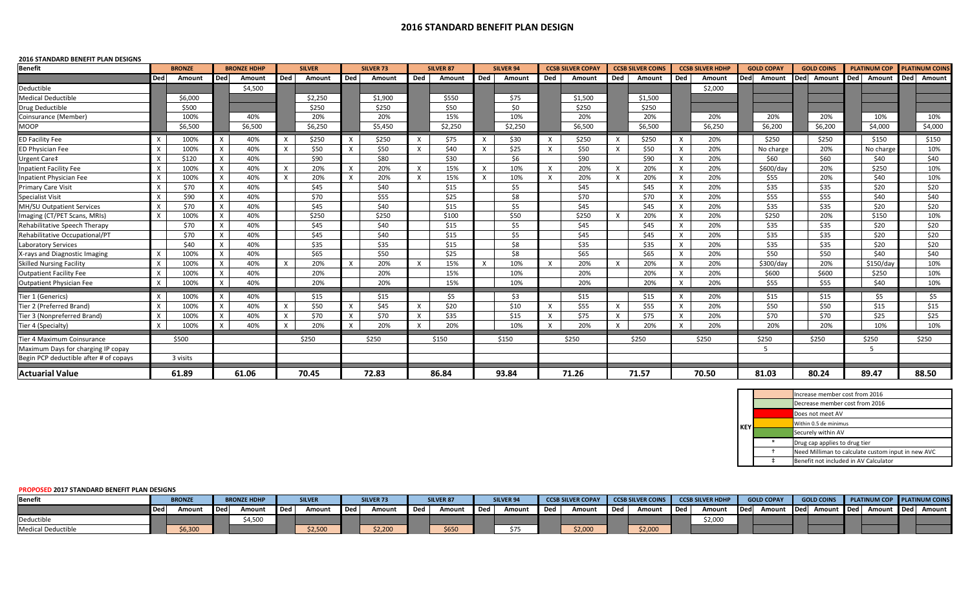## **2016 STANDARD BENEFIT PLAN DESIGN**

## **2016 STANDARD BENEFIT PLAN DESIGNS**

| <b>Benefit</b>                         |                           | <b>BRONZE</b> |              | <b>BRONZE HDHP</b> |              | <b>SILVER</b> |              | <b>SILVER 73</b> |              | <b>SILVER 87</b> |          | SILVER 94 |              | <b>CCSB SILVER COPAY</b> |              | <b>CCSB SILVER COINS</b> |              | <b>CCSB SILVER HDHP</b> |            | <b>GOLD COPAY</b> |       | <b>GOLD COINS</b> |       | <b>PLATINUM COP</b> |       | <b>PLATINUM COINS</b> |  |
|----------------------------------------|---------------------------|---------------|--------------|--------------------|--------------|---------------|--------------|------------------|--------------|------------------|----------|-----------|--------------|--------------------------|--------------|--------------------------|--------------|-------------------------|------------|-------------------|-------|-------------------|-------|---------------------|-------|-----------------------|--|
|                                        | <b>Ded</b>                | Amount        | <b>Ded</b>   | Amount             | Ded          | Amount        | Ded          | Amount           | Ded          | Amount           | Ded      | Amount    | Ded          | Amount                   | Ded          | Ded<br>Amount            |              | Amount                  | <b>Ded</b> | Amount            |       | Ded Amount        | Ded   | Amount              |       | Ded Amount            |  |
| Deductible                             |                           |               |              | \$4,500            |              |               |              |                  |              |                  |          |           |              |                          |              |                          |              | \$2,000                 |            |                   |       |                   |       |                     |       |                       |  |
| <b>Medical Deductible</b>              |                           | \$6,000       |              |                    |              | \$2,250       |              | \$1,900          |              | \$550            |          | \$75      |              | \$1,500                  |              | \$1,500                  |              |                         |            |                   |       |                   |       |                     |       |                       |  |
| Drug Deductible                        |                           | \$500         |              |                    |              | \$250         |              | \$250            |              | \$50             |          | \$0       |              | \$250                    |              | \$250                    |              |                         |            |                   |       |                   |       |                     |       |                       |  |
| Coinsurance (Member)                   |                           | 100%          |              | 40%                |              | 20%           |              | 20%              |              | 15%              |          | 10%       |              | 20%                      |              | 20%                      |              | 20%                     |            | 20%               |       | 20%               |       | 10%                 |       | 10%                   |  |
| <b>MOOP</b>                            |                           | \$6,500       |              | \$6,500            |              | \$6,250       |              | \$5,450          |              | \$2,250          |          | \$2,250   |              | \$6,500                  |              | \$6,500                  |              | \$6,250                 |            | \$6,200           |       | \$6,200           |       | \$4,000             |       | \$4,000               |  |
| <b>ED Facility Fee</b>                 | X                         | 100%          | X            | 40%                | X            | \$250         | $\times$     | \$250            | X            | \$75             | X        | \$30      | $\mathsf{X}$ | \$250                    | $\mathsf{X}$ | \$250                    | X            | 20%                     |            | \$250             |       | \$250             |       | \$150               |       | \$150                 |  |
| <b>ED Physician Fee</b>                | $\mathsf{x}$              | 100%          |              | 40%                | $\times$     | \$50          | $\mathsf{x}$ | \$50             | $\mathsf{x}$ | \$40             | X        | \$25      | X            | \$50                     | $\times$     | \$50                     | X            | 20%                     |            | No charge         |       | 20%               |       | No charge           |       | 10%                   |  |
| Urgent Care‡                           | $\mathsf{x}$              | \$120         | $\times$     | 40%                |              | \$90          |              | \$80             |              | \$30             |          | \$6       |              | \$90                     |              | \$90                     | $\mathsf{x}$ | 20%                     |            | \$60              |       | \$60              |       | \$40                |       | \$40                  |  |
| Inpatient Facility Fee                 | $\mathsf{x}$              | 100%          | $\times$     | 40%                | $\mathsf{x}$ | 20%           | $\times$     | 20%              | $\times$     | 15%              | X        | 10%       | $\mathsf{x}$ | 20%                      | $\times$     | 20%                      | X            | 20%                     |            | \$600/day         |       | 20%               |       | \$250               |       | 10%                   |  |
| Inpatient Physician Fee                |                           | 100%          |              | 40%                | $\times$     | 20%           | $\times$     | 20%              |              | 15%              | X        | 10%       | $\times$     | 20%                      | $\times$     | 20%                      | $\mathsf{x}$ | 20%                     |            | \$55              |       | 20%               |       | \$40                |       | 10%                   |  |
| <b>Primary Care Visit</b>              | $\mathsf{X}$              | \$70          | X            | 40%                |              | \$45          |              | \$40             |              | \$15             |          | \$5       |              | \$45                     |              | \$45                     | X            | 20%                     |            | \$35              |       | \$35              |       | \$20                |       | \$20                  |  |
| <b>Specialist Visit</b>                | $\times$                  | \$90          | $\mathsf{x}$ | 40%                |              | \$70          |              | \$55             |              | \$25             |          | \$8       |              | \$70                     |              | \$70                     | $\mathsf{x}$ | 20%                     |            | \$55              |       | \$55              |       | \$40                |       | \$40                  |  |
| MH/SU Outpatient Services              | $\times$                  | \$70          |              | 40%                |              | \$45          |              | \$40             |              | \$15             |          | \$5       |              | \$45                     |              | \$45                     | $\times$     | 20%                     |            | \$35              |       | \$35              |       | \$20                |       | \$20                  |  |
| Imaging (CT/PET Scans, MRIs)           | $\times$                  | 100%          | $\times$     | 40%                |              | \$250         |              | \$250            |              | \$100            |          | \$50      |              | \$250                    | $\times$     | 20%                      | $\times$     | 20%                     |            | \$250             |       | 20%               |       | \$150               |       | 10%                   |  |
| Rehabilitative Speech Therapy          |                           | \$70          | X            | 40%                |              | \$45          |              | \$40             |              | \$15             |          | \$5       |              | \$45                     |              | \$45                     | X            | 20%                     |            | \$35              |       | \$35              |       | \$20                |       | \$20                  |  |
| Rehabilitative Occupational/PT         |                           | \$70          | X            | 40%                |              | \$45          |              | \$40             |              | \$15             |          | \$5       |              | \$45                     |              | \$45                     | $\mathsf{x}$ | 20%                     |            | \$35              |       | \$35              |       | \$20                |       | \$20                  |  |
| Laboratory Services                    |                           | \$40          |              | 40%                |              | \$35          |              | \$35             |              | \$15             |          | \$8       |              | \$35                     |              | \$35                     | X            | 20%                     |            | \$35              |       | \$35              |       | \$20                |       | \$20                  |  |
| X-rays and Diagnostic Imaging          | $\mathsf{X}$              | 100%          | $\times$     | 40%                |              | \$65          |              | \$50             |              | \$25             |          | \$8       |              | \$65                     |              | \$65                     | $\times$     | 20%                     |            | \$50              |       | \$50              |       | \$40                |       | \$40                  |  |
| <b>Skilled Nursing Facility</b>        | $\mathsf{X}$              | 100%          | X            | 40%                | $\times$     | 20%           | X            | 20%              | X            | 15%              | $\times$ | 10%       | X            | 20%                      | $\times$     | 20%                      | X            | 20%                     |            | \$300/day         |       | 20%               |       | \$150/day           |       | 10%                   |  |
| <b>Outpatient Facility Fee</b>         |                           | 100%          | X            | 40%                |              | 20%           |              | 20%              |              | 15%              |          | 10%       |              | 20%                      |              | 20%                      | $\times$     | 20%                     |            | \$600             |       | \$600             |       | \$250               |       | 10%                   |  |
| <b>Outpatient Physician Fee</b>        | $\boldsymbol{\mathsf{x}}$ | 100%          |              | 40%                |              | 20%           |              | 20%              |              | 15%              |          | 10%       |              | 20%                      |              | 20%                      | X            | 20%                     |            | \$55              |       | \$55              |       | \$40                |       | 10%                   |  |
| Tier 1 (Generics)                      | $\times$                  | 100%          | X            | 40%                |              | \$15          |              | \$15             |              | \$5              |          | \$3       |              | \$15                     |              | \$15                     | $\mathsf{x}$ | 20%                     |            | \$15              |       | \$15              |       | \$5                 |       | \$5                   |  |
| Tier 2 (Preferred Brand)               | $\mathsf{x}$              | 100%          | X            | 40%                | $\times$     | \$50          | $\times$     | \$45             | $\mathsf{x}$ | \$20             |          | \$10      | $\mathsf{x}$ | \$55                     | $\times$     | \$55                     | $\times$     | 20%                     |            | \$50              |       | \$50              |       | \$15                |       | \$15                  |  |
| Tier 3 (Nonpreferred Brand)            | $\times$                  | 100%          | $\times$     | 40%                | $\times$     | \$70          | $\times$     | \$70             | $\times$     | \$35             |          | \$15      | $\mathsf{x}$ | \$75                     | $\times$     | \$75                     | $\times$     | 20%                     |            | \$70              |       | \$70              |       | \$25                |       | \$25                  |  |
| Tier 4 (Specialty)                     | $\boldsymbol{\mathsf{x}}$ | 100%          |              | 40%                | $\times$     | 20%           | $\times$     | 20%              |              | 20%              |          | 10%       | $\times$     | 20%                      | $\times$     | 20%                      | X            | 20%                     |            | 20%               |       | 20%               |       | 10%                 |       | 10%                   |  |
| Tier 4 Maximum Coinsurance             |                           | \$500         |              |                    |              | \$250         |              | \$250            |              | \$150            |          | \$150     |              | \$250                    |              | \$250                    |              | \$250                   |            | \$250             |       | \$250             |       | \$250               |       | \$250                 |  |
| Maximum Days for charging IP copay     |                           |               |              |                    |              |               |              |                  |              |                  |          |           |              |                          |              |                          |              |                         |            |                   |       |                   |       | .5.                 |       |                       |  |
| Begin PCP deductible after # of copays |                           | 3 visits      |              |                    |              |               |              |                  |              |                  |          |           |              |                          |              |                          |              |                         |            |                   |       |                   |       |                     |       |                       |  |
| <b>Actuarial Value</b>                 |                           | 61.89         |              | 61.06              |              | 70.45         |              | 72.83            | 86.84        |                  | 93.84    |           | 71.26        |                          | 71.57        |                          | 70.50        |                         | 81.03      |                   | 80.24 |                   | 89.47 |                     | 88.50 |                       |  |

|     |        | Increase member cost from 2016                     |
|-----|--------|----------------------------------------------------|
|     |        | Decrease member cost from 2016                     |
|     |        | Does not meet AV                                   |
| ΚFΥ |        | Within 0.5 de minimus                              |
|     |        | Securely within AV                                 |
|     | $\ast$ | Drug cap applies to drug tier                      |
|     |        | Need Milliman to calculate custom input in new AVC |
|     |        | Benefit not included in AV Calculator              |

**PROPOSED 2017 STANDARD BENEFIT PLAN DESIGNS**

| Benefit                   | <b>BRONZE</b> |       | <b>BRONZE HDHP</b> |         | <b>SILVER</b> |       | <b>SILVER 73</b> |       | <b>SILVER 87</b> | SILVER 94 |       | <b>CCSB SILVER COPAY CCSB SILVER COINS</b> |       |            | <b>CCSB SILVER HDHP</b> |       | <b>GOLD COPAY</b>     | <b>GOLD COINS PLATINUM COP PLATINUM COINS</b> |                   |  |
|---------------------------|---------------|-------|--------------------|---------|---------------|-------|------------------|-------|------------------|-----------|-------|--------------------------------------------|-------|------------|-------------------------|-------|-----------------------|-----------------------------------------------|-------------------|--|
|                           | Amount        | l Ded | Amount             | l Ded l | Amount        | ∎ Ded | Amount           | l Ded | Amount Ded       | Amount    | l Ded | Amount                                     | l Ded | Amount Ded | Amount                  | l Ded | Amount Ded Amount Ded |                                               | Amount Ded Amount |  |
| Deductible                |               |       | \$4,500            |         |               |       |                  |       |                  |           |       |                                            |       |            | \$2,000                 |       |                       |                                               |                   |  |
| <b>Medical Deductible</b> | \$6,300       |       |                    |         | \$2,500       |       | \$2,200          |       | \$650            |           |       | \$2,000                                    |       | \$2,000    |                         |       |                       |                                               |                   |  |